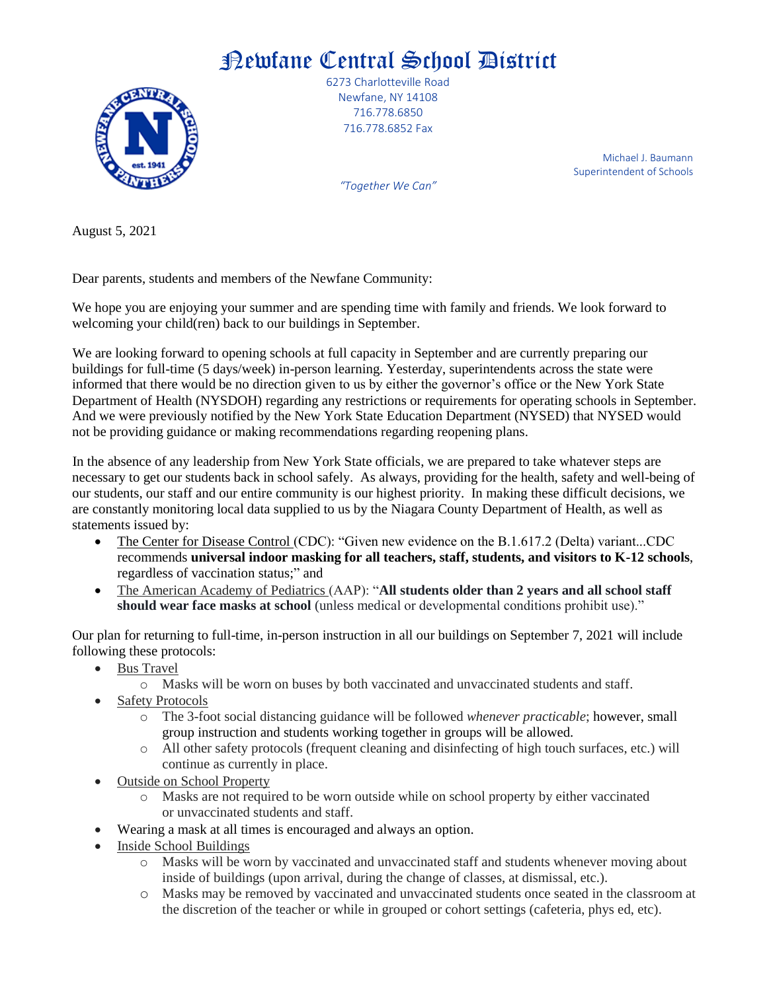## Newfane Central School District



6273 Charlotteville Road Newfane, NY 14108 716.778.6850 716.778.6852 Fax

> Michael J. Baumann Superintendent of Schools

*"Together We Can"*

August 5, 2021

Dear parents, students and members of the Newfane Community:

We hope you are enjoying your summer and are spending time with family and friends. We look forward to welcoming your child(ren) back to our buildings in September.

We are looking forward to opening schools at full capacity in September and are currently preparing our buildings for full-time (5 days/week) in-person learning. Yesterday, superintendents across the state were informed that there would be no direction given to us by either the governor's office or the New York State Department of Health (NYSDOH) regarding any restrictions or requirements for operating schools in September. And we were previously notified by the New York State Education Department (NYSED) that NYSED would not be providing guidance or making recommendations regarding reopening plans.

In the absence of any leadership from New York State officials, we are prepared to take whatever steps are necessary to get our students back in school safely. As always, providing for the health, safety and well-being of our students, our staff and our entire community is our highest priority. In making these difficult decisions, we are constantly monitoring local data supplied to us by the Niagara County Department of Health, as well as statements issued by:

- The Center for Disease Control (CDC): "Given new evidence on the B.1.617.2 (Delta) variant...CDC recommends **universal indoor masking for all teachers, staff, students, and visitors to K-12 schools**, regardless of vaccination status;" and
- The American Academy of Pediatrics (AAP): "All **students older than 2 years and all school staff should wear face masks at school** (unless medical or developmental conditions prohibit use)."

Our plan for returning to full-time, in-person instruction in all our buildings on September 7, 2021 will include following these protocols:

- Bus Travel
	- o Masks will be worn on buses by both vaccinated and unvaccinated students and staff.
- Safety Protocols
	- o The 3-foot social distancing guidance will be followed *whenever practicable*; however, small group instruction and students working together in groups will be allowed.
	- o All other safety protocols (frequent cleaning and disinfecting of high touch surfaces, etc.) will continue as currently in place.
- Outside on School Property
	- o Masks are not required to be worn outside while on school property by either vaccinated or unvaccinated students and staff.
- Wearing a mask at all times is encouraged and always an option.
- Inside School Buildings
	- o Masks will be worn by vaccinated and unvaccinated staff and students whenever moving about inside of buildings (upon arrival, during the change of classes, at dismissal, etc.).
	- o Masks may be removed by vaccinated and unvaccinated students once seated in the classroom at the discretion of the teacher or while in grouped or cohort settings (cafeteria, phys ed, etc).